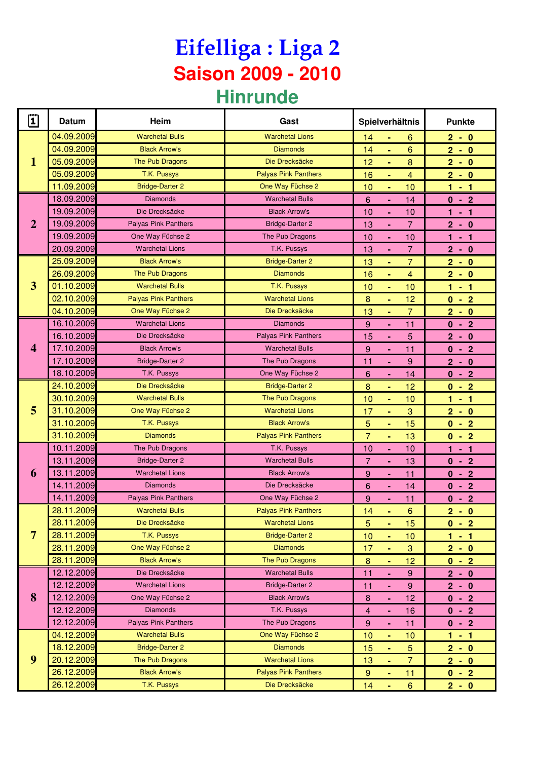## **Eifelliga : Liga 2 Saison 2009 - 2010 Hinrunde**

| $\dddot{\mathbf{1}}$ | Datum      | Heim                        | Gast                        | Spielverhältnis |                |                  | <b>Punkte</b> |  |
|----------------------|------------|-----------------------------|-----------------------------|-----------------|----------------|------------------|---------------|--|
| 1                    | 04.09.2009 | <b>Warchetal Bulls</b>      | <b>Warchetal Lions</b>      | 14              |                | 6                | $2 - 0$       |  |
|                      | 04.09.2009 | <b>Black Arrow's</b>        | <b>Diamonds</b>             | 14              | ÷.             | 6                | $2 - 0$       |  |
|                      | 05.09.2009 | The Pub Dragons             | Die Drecksäcke              | 12              | ٠              | 8                | $2 - 0$       |  |
|                      | 05.09.2009 | T.K. Pussys                 | <b>Palyas Pink Panthers</b> | 16              | ٠              | 4                | $2 - 0$       |  |
|                      | 11.09.2009 | <b>Bridge-Darter 2</b>      | One Way Füchse 2            | 10              | ٠              | 10               | $1 - 1$       |  |
| $\overline{2}$       | 18.09.2009 | <b>Diamonds</b>             | <b>Warchetal Bulls</b>      | 6               |                | 14               | $0 - 2$       |  |
|                      | 19.09.2009 | Die Drecksäcke              | <b>Black Arrow's</b>        | 10              | $\blacksquare$ | 10               | $1 - 1$       |  |
|                      | 19.09.2009 | Palyas Pink Panthers        | <b>Bridge-Darter 2</b>      | 13              | ٠              | $\overline{7}$   | $2 - 0$       |  |
|                      | 19.09.2009 | One Way Füchse 2            | The Pub Dragons             | 10              | ä,             | 10               | $1 - 1$       |  |
|                      | 20.09.2009 | <b>Warchetal Lions</b>      | T.K. Pussys                 | 13              |                | 7                | $2 - 0$       |  |
|                      | 25.09.2009 | <b>Black Arrow's</b>        | <b>Bridge-Darter 2</b>      | 13              | ٠              | $\overline{7}$   | $2 - 0$       |  |
|                      | 26.09.2009 | The Pub Dragons             | <b>Diamonds</b>             | 16              | ä,             | $\overline{4}$   | $2 - 0$       |  |
| 3                    | 01.10.2009 | <b>Warchetal Bulls</b>      | T.K. Pussys                 | 10              | ä,             | 10               | $1 - 1$       |  |
|                      | 02.10.2009 | <b>Palyas Pink Panthers</b> | <b>Warchetal Lions</b>      | $\bf 8$         | ٠              | 12               | $0 - 2$       |  |
|                      | 04.10.2009 | One Way Füchse 2            | Die Drecksäcke              | 13              | Ξ              | 7                | $2 - 0$       |  |
|                      | 16.10.2009 | <b>Warchetal Lions</b>      | <b>Diamonds</b>             | 9               | ä,             | 11               | $0 - 2$       |  |
|                      | 16.10.2009 | Die Drecksäcke              | Palyas Pink Panthers        | 15              |                | 5                | $2 - 0$       |  |
| 4                    | 17.10.2009 | <b>Black Arrow's</b>        | <b>Warchetal Bulls</b>      | 9               | $\blacksquare$ | 11               | $0 - 2$       |  |
|                      | 17.10.2009 | <b>Bridge-Darter 2</b>      | The Pub Dragons             | 11              | ä,             | 9                | $2 - 0$       |  |
|                      | 18.10.2009 | T.K. Pussys                 | One Way Füchse 2            | 6               |                | 14               | $0 - 2$       |  |
|                      | 24.10.2009 | Die Drecksäcke              | <b>Bridge-Darter 2</b>      | 8               | ٠              | 12               | $0 - 2$       |  |
| 5                    | 30.10.2009 | <b>Warchetal Bulls</b>      | The Pub Dragons             | 10              | $\blacksquare$ | 10               | $1 - 1$       |  |
|                      | 31.10.2009 | One Way Füchse 2            | <b>Warchetal Lions</b>      | 17              | ä,             | 3                | $2 - 0$       |  |
|                      | 31.10.2009 | T.K. Pussys                 | <b>Black Arrow's</b>        | 5               | ٠              | 15               | $0 - 2$       |  |
|                      | 31.10.2009 | <b>Diamonds</b>             | <b>Palyas Pink Panthers</b> | 7               | ٠              | 13               | $0 - 2$       |  |
|                      | 10.11.2009 | The Pub Dragons             | T.K. Pussys                 | 10              | ä,             | 10               | $1 - 1$       |  |
|                      | 13.11.2009 | <b>Bridge-Darter 2</b>      | <b>Warchetal Bulls</b>      | $\overline{7}$  |                | 13               | $0 - 2$       |  |
| 6                    | 13.11.2009 | <b>Warchetal Lions</b>      | <b>Black Arrow's</b>        | 9               | Ξ              | 11               | $0 - 2$       |  |
|                      | 14.11.2009 | <b>Diamonds</b>             | Die Drecksäcke              | 6               | ä,             | 14               | $0 - 2$       |  |
|                      | 14.11.2009 | <b>Palyas Pink Panthers</b> | One Way Füchse 2            | 9               |                | 11               | $0 - 2$       |  |
|                      | 28.11.2009 | <b>Warchetal Bulls</b>      | <b>Palyas Pink Panthers</b> | 14              | ÷              | $6\phantom{a}$   | $2 - 0$       |  |
| 7                    | 28.11.2009 | Die Drecksäcke              | <b>Warchetal Lions</b>      | $\overline{5}$  | ä,             | 15               | $0 - 2$       |  |
|                      | 28.11.2009 | T.K. Pussys                 | <b>Bridge-Darter 2</b>      | 10              |                | 10               | $1 - 1$       |  |
|                      | 28.11.2009 | One Way Füchse 2            | <b>Diamonds</b>             | 17              | ٠              | $\sqrt{3}$       | $2 - 0$       |  |
|                      | 28.11.2009 | <b>Black Arrow's</b>        | The Pub Dragons             | $\bf 8$         | Ξ              | 12               | $0 - 2$       |  |
| 8                    | 12.12.2009 | Die Drecksäcke              | <b>Warchetal Bulls</b>      | 11              | ä,             | 9                | $2 - 0$       |  |
|                      | 12.12.2009 | <b>Warchetal Lions</b>      | <b>Bridge-Darter 2</b>      | 11              | ä,             | $9\,$            | $2 - 0$       |  |
|                      | 12.12.2009 | One Way Füchse 2            | <b>Black Arrow's</b>        | 8               | ÷,             | 12               | $0 - 2$       |  |
|                      | 12.12.2009 | <b>Diamonds</b>             | T.K. Pussys                 | 4               | ä,             | 16               | $0 - 2$       |  |
|                      | 12.12.2009 | <b>Palyas Pink Panthers</b> | The Pub Dragons             | 9               | ٠              | 11               | $0 - 2$       |  |
| 9                    | 04.12.2009 | <b>Warchetal Bulls</b>      | One Way Füchse 2            | 10              | $\blacksquare$ | 10               | $1 - 1$       |  |
|                      | 18.12.2009 | <b>Bridge-Darter 2</b>      | <b>Diamonds</b>             | 15              | ä,             | $\overline{5}$   | $2 - 0$       |  |
|                      | 20.12.2009 | The Pub Dragons             | <b>Warchetal Lions</b>      | 13              | Ξ              | 7                | $2 - 0$       |  |
|                      | 26.12.2009 | <b>Black Arrow's</b>        | <b>Palyas Pink Panthers</b> | $9\,$           | ٠              | 11               | $0 - 2$       |  |
|                      | 26.12.2009 | T.K. Pussys                 | Die Drecksäcke              | 14              | Ξ              | $\boldsymbol{6}$ | $2 - 0$       |  |